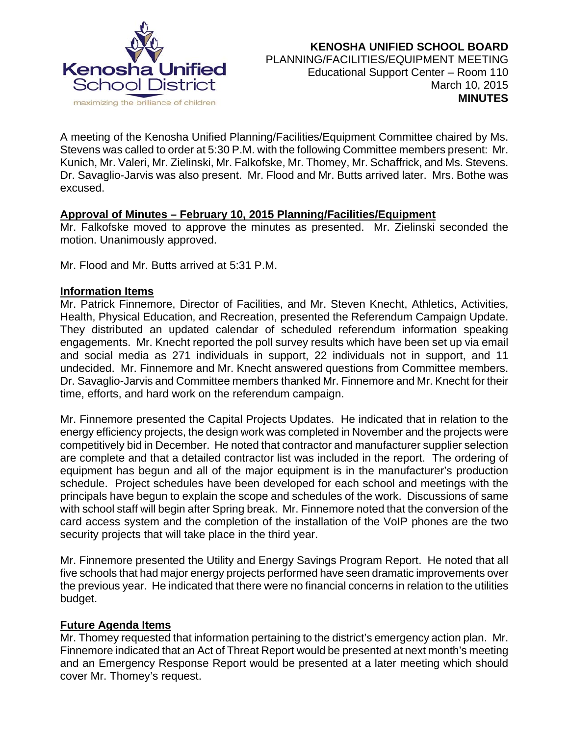

A meeting of the Kenosha Unified Planning/Facilities/Equipment Committee chaired by Ms. Stevens was called to order at 5:30 P.M. with the following Committee members present: Mr. Kunich, Mr. Valeri, Mr. Zielinski, Mr. Falkofske, Mr. Thomey, Mr. Schaffrick, and Ms. Stevens. Dr. Savaglio-Jarvis was also present. Mr. Flood and Mr. Butts arrived later. Mrs. Bothe was excused.

# **Approval of Minutes – February 10, 2015 Planning/Facilities/Equipment**

Mr. Falkofske moved to approve the minutes as presented. Mr. Zielinski seconded the motion. Unanimously approved.

Mr. Flood and Mr. Butts arrived at 5:31 P.M.

### **Information Items**

Mr. Patrick Finnemore, Director of Facilities, and Mr. Steven Knecht, Athletics, Activities, Health, Physical Education, and Recreation, presented the Referendum Campaign Update. They distributed an updated calendar of scheduled referendum information speaking engagements. Mr. Knecht reported the poll survey results which have been set up via email and social media as 271 individuals in support, 22 individuals not in support, and 11 undecided. Mr. Finnemore and Mr. Knecht answered questions from Committee members. Dr. Savaglio-Jarvis and Committee members thanked Mr. Finnemore and Mr. Knecht for their time, efforts, and hard work on the referendum campaign.

Mr. Finnemore presented the Capital Projects Updates. He indicated that in relation to the energy efficiency projects, the design work was completed in November and the projects were competitively bid in December. He noted that contractor and manufacturer supplier selection are complete and that a detailed contractor list was included in the report. The ordering of equipment has begun and all of the major equipment is in the manufacturer's production schedule. Project schedules have been developed for each school and meetings with the principals have begun to explain the scope and schedules of the work. Discussions of same with school staff will begin after Spring break. Mr. Finnemore noted that the conversion of the card access system and the completion of the installation of the VoIP phones are the two security projects that will take place in the third year.

Mr. Finnemore presented the Utility and Energy Savings Program Report. He noted that all five schools that had major energy projects performed have seen dramatic improvements over the previous year. He indicated that there were no financial concerns in relation to the utilities budget.

# **Future Agenda Items**

Mr. Thomey requested that information pertaining to the district's emergency action plan. Mr. Finnemore indicated that an Act of Threat Report would be presented at next month's meeting and an Emergency Response Report would be presented at a later meeting which should cover Mr. Thomey's request.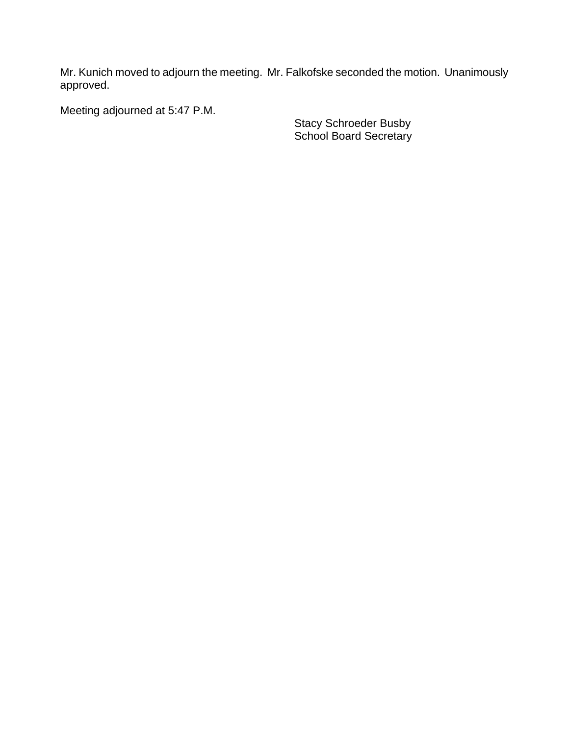Mr. Kunich moved to adjourn the meeting. Mr. Falkofske seconded the motion. Unanimously approved.

Meeting adjourned at 5:47 P.M.

**Stacy Schroeder Busby** Stacy Schroeder Busby **School Board Secretary** School Board Secretary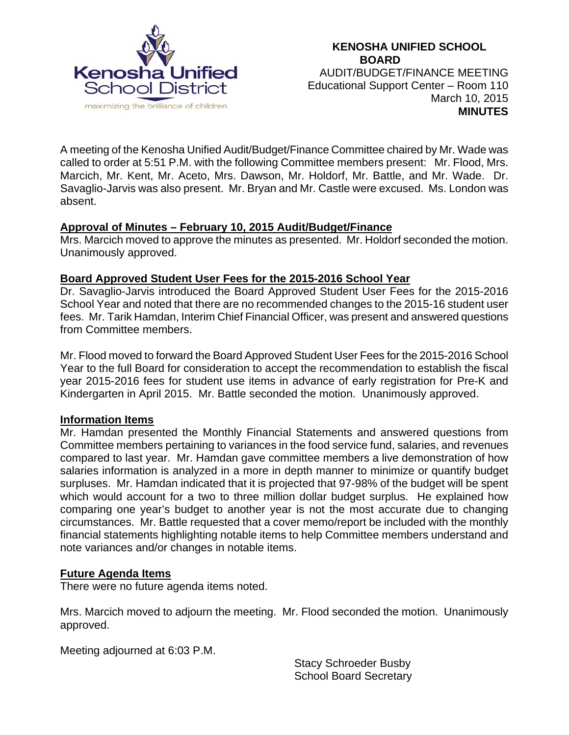

A meeting of the Kenosha Unified Audit/Budget/Finance Committee chaired by Mr. Wade was called to order at 5:51 P.M. with the following Committee members present: Mr. Flood, Mrs. Marcich, Mr. Kent, Mr. Aceto, Mrs. Dawson, Mr. Holdorf, Mr. Battle, and Mr. Wade. Dr. Savaglio-Jarvis was also present. Mr. Bryan and Mr. Castle were excused. Ms. London was absent.

# **Approval of Minutes – February 10, 2015 Audit/Budget/Finance**

Mrs. Marcich moved to approve the minutes as presented. Mr. Holdorf seconded the motion. Unanimously approved.

# **Board Approved Student User Fees for the 2015-2016 School Year**

Dr. Savaglio-Jarvis introduced the Board Approved Student User Fees for the 2015-2016 School Year and noted that there are no recommended changes to the 2015-16 student user fees. Mr. Tarik Hamdan, Interim Chief Financial Officer, was present and answered questions from Committee members.

Mr. Flood moved to forward the Board Approved Student User Fees for the 2015-2016 School Year to the full Board for consideration to accept the recommendation to establish the fiscal year 2015-2016 fees for student use items in advance of early registration for Pre-K and Kindergarten in April 2015. Mr. Battle seconded the motion. Unanimously approved.

### **Information Items**

Mr. Hamdan presented the Monthly Financial Statements and answered questions from Committee members pertaining to variances in the food service fund, salaries, and revenues compared to last year. Mr. Hamdan gave committee members a live demonstration of how salaries information is analyzed in a more in depth manner to minimize or quantify budget surpluses. Mr. Hamdan indicated that it is projected that 97-98% of the budget will be spent which would account for a two to three million dollar budget surplus. He explained how comparing one year's budget to another year is not the most accurate due to changing circumstances. Mr. Battle requested that a cover memo/report be included with the monthly financial statements highlighting notable items to help Committee members understand and note variances and/or changes in notable items.

### **Future Agenda Items**

There were no future agenda items noted.

Mrs. Marcich moved to adjourn the meeting. Mr. Flood seconded the motion. Unanimously approved.

Meeting adjourned at 6:03 P.M.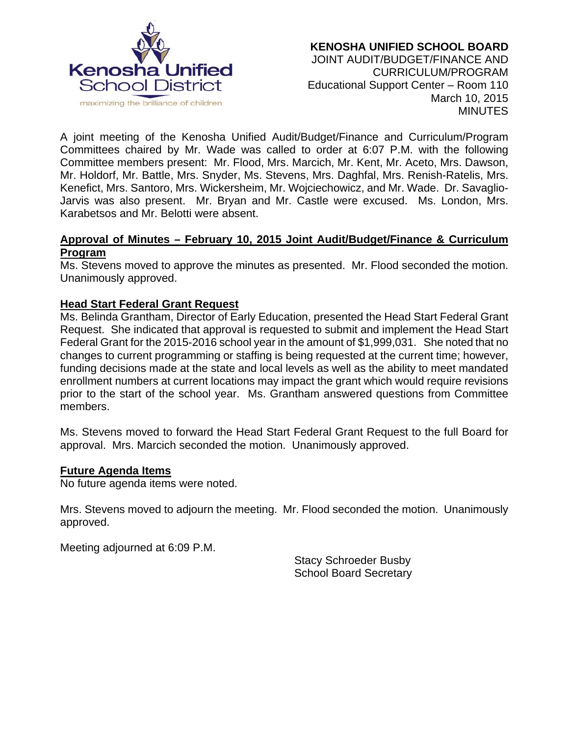

A joint meeting of the Kenosha Unified Audit/Budget/Finance and Curriculum/Program Committees chaired by Mr. Wade was called to order at 6:07 P.M. with the following Committee members present: Mr. Flood, Mrs. Marcich, Mr. Kent, Mr. Aceto, Mrs. Dawson, Mr. Holdorf, Mr. Battle, Mrs. Snyder, Ms. Stevens, Mrs. Daghfal, Mrs. Renish-Ratelis, Mrs. Kenefict, Mrs. Santoro, Mrs. Wickersheim, Mr. Wojciechowicz, and Mr. Wade. Dr. Savaglio-Jarvis was also present. Mr. Bryan and Mr. Castle were excused. Ms. London, Mrs. Karabetsos and Mr. Belotti were absent.

### **Approval of Minutes – February 10, 2015 Joint Audit/Budget/Finance & Curriculum Program**

Ms. Stevens moved to approve the minutes as presented. Mr. Flood seconded the motion. Unanimously approved.

### **Head Start Federal Grant Request**

Ms. Belinda Grantham, Director of Early Education, presented the Head Start Federal Grant Request. She indicated that approval is requested to submit and implement the Head Start Federal Grant for the 2015-2016 school year in the amount of \$1,999,031. She noted that no changes to current programming or staffing is being requested at the current time; however, funding decisions made at the state and local levels as well as the ability to meet mandated enrollment numbers at current locations may impact the grant which would require revisions prior to the start of the school year. Ms. Grantham answered questions from Committee members.

Ms. Stevens moved to forward the Head Start Federal Grant Request to the full Board for approval. Mrs. Marcich seconded the motion. Unanimously approved.

#### **Future Agenda Items**

No future agenda items were noted.

Mrs. Stevens moved to adjourn the meeting. Mr. Flood seconded the motion. Unanimously approved.

Meeting adjourned at 6:09 P.M.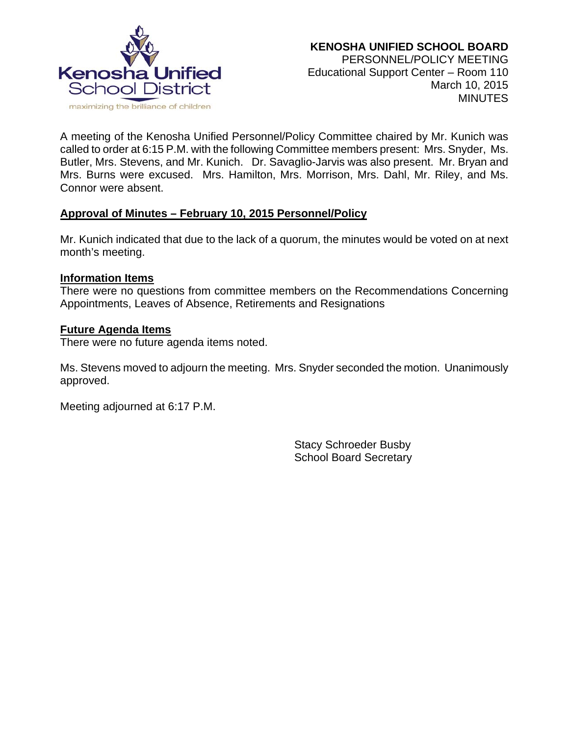

A meeting of the Kenosha Unified Personnel/Policy Committee chaired by Mr. Kunich was called to order at 6:15 P.M. with the following Committee members present: Mrs. Snyder, Ms. Butler, Mrs. Stevens, and Mr. Kunich. Dr. Savaglio-Jarvis was also present. Mr. Bryan and Mrs. Burns were excused. Mrs. Hamilton, Mrs. Morrison, Mrs. Dahl, Mr. Riley, and Ms. Connor were absent.

# **Approval of Minutes – February 10, 2015 Personnel/Policy**

Mr. Kunich indicated that due to the lack of a quorum, the minutes would be voted on at next month's meeting.

#### **Information Items**

There were no questions from committee members on the Recommendations Concerning Appointments, Leaves of Absence, Retirements and Resignations

#### **Future Agenda Items**

There were no future agenda items noted.

Ms. Stevens moved to adjourn the meeting. Mrs. Snyder seconded the motion. Unanimously approved.

Meeting adjourned at 6:17 P.M.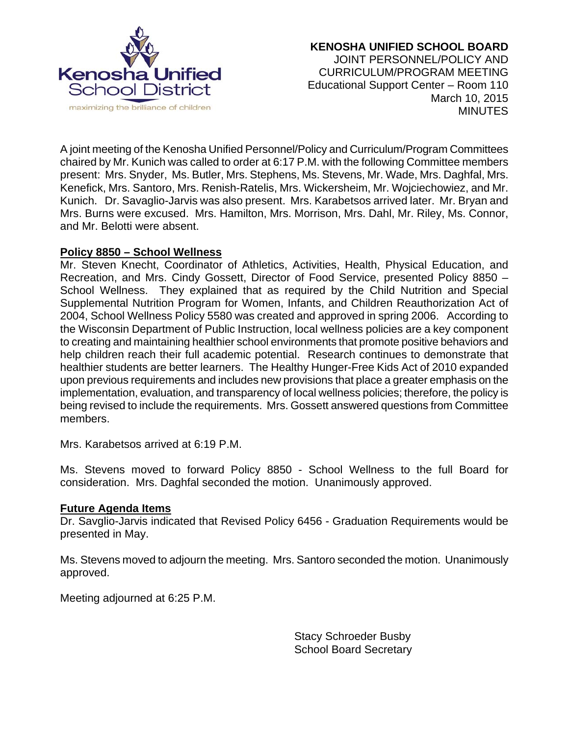

A joint meeting of the Kenosha Unified Personnel/Policy and Curriculum/Program Committees chaired by Mr. Kunich was called to order at 6:17 P.M. with the following Committee members present: Mrs. Snyder, Ms. Butler, Mrs. Stephens, Ms. Stevens, Mr. Wade, Mrs. Daghfal, Mrs. Kenefick, Mrs. Santoro, Mrs. Renish-Ratelis, Mrs. Wickersheim, Mr. Wojciechowiez, and Mr. Kunich. Dr. Savaglio-Jarvis was also present. Mrs. Karabetsos arrived later. Mr. Bryan and Mrs. Burns were excused. Mrs. Hamilton, Mrs. Morrison, Mrs. Dahl, Mr. Riley, Ms. Connor, and Mr. Belotti were absent.

### **Policy 8850 – School Wellness**

Mr. Steven Knecht, Coordinator of Athletics, Activities, Health, Physical Education, and Recreation, and Mrs. Cindy Gossett, Director of Food Service, presented Policy 8850 – School Wellness. They explained that as required by the Child Nutrition and Special Supplemental Nutrition Program for Women, Infants, and Children Reauthorization Act of 2004, School Wellness Policy 5580 was created and approved in spring 2006. According to the Wisconsin Department of Public Instruction, local wellness policies are a key component to creating and maintaining healthier school environments that promote positive behaviors and help children reach their full academic potential. Research continues to demonstrate that healthier students are better learners. The Healthy Hunger-Free Kids Act of 2010 expanded upon previous requirements and includes new provisions that place a greater emphasis on the implementation, evaluation, and transparency of local wellness policies; therefore, the policy is being revised to include the requirements. Mrs. Gossett answered questions from Committee members.

Mrs. Karabetsos arrived at 6:19 P.M.

Ms. Stevens moved to forward Policy 8850 - School Wellness to the full Board for consideration. Mrs. Daghfal seconded the motion. Unanimously approved.

#### **Future Agenda Items**

Dr. Savglio-Jarvis indicated that Revised Policy 6456 - Graduation Requirements would be presented in May.

Ms. Stevens moved to adjourn the meeting. Mrs. Santoro seconded the motion. Unanimously approved.

Meeting adjourned at 6:25 P.M.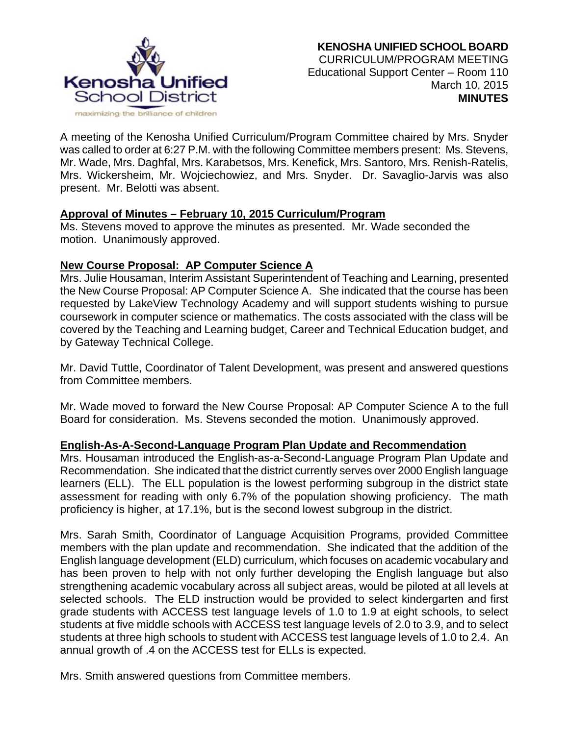

A meeting of the Kenosha Unified Curriculum/Program Committee chaired by Mrs. Snyder was called to order at 6:27 P.M. with the following Committee members present: Ms. Stevens, Mr. Wade, Mrs. Daghfal, Mrs. Karabetsos, Mrs. Kenefick, Mrs. Santoro, Mrs. Renish-Ratelis, Mrs. Wickersheim, Mr. Wojciechowiez, and Mrs. Snyder. Dr. Savaglio-Jarvis was also present. Mr. Belotti was absent.

### **Approval of Minutes – February 10, 2015 Curriculum/Program**

Ms. Stevens moved to approve the minutes as presented. Mr. Wade seconded the motion. Unanimously approved.

### **New Course Proposal: AP Computer Science A**

Mrs. Julie Housaman, Interim Assistant Superintendent of Teaching and Learning, presented the New Course Proposal: AP Computer Science A. She indicated that the course has been requested by LakeView Technology Academy and will support students wishing to pursue coursework in computer science or mathematics. The costs associated with the class will be covered by the Teaching and Learning budget, Career and Technical Education budget, and by Gateway Technical College.

Mr. David Tuttle, Coordinator of Talent Development, was present and answered questions from Committee members.

Mr. Wade moved to forward the New Course Proposal: AP Computer Science A to the full Board for consideration. Ms. Stevens seconded the motion. Unanimously approved.

### **English-As-A-Second-Language Program Plan Update and Recommendation**

Mrs. Housaman introduced the English-as-a-Second-Language Program Plan Update and Recommendation. She indicated that the district currently serves over 2000 English language learners (ELL). The ELL population is the lowest performing subgroup in the district state assessment for reading with only 6.7% of the population showing proficiency. The math proficiency is higher, at 17.1%, but is the second lowest subgroup in the district.

Mrs. Sarah Smith, Coordinator of Language Acquisition Programs, provided Committee members with the plan update and recommendation. She indicated that the addition of the English language development (ELD) curriculum, which focuses on academic vocabulary and has been proven to help with not only further developing the English language but also strengthening academic vocabulary across all subject areas, would be piloted at all levels at selected schools. The ELD instruction would be provided to select kindergarten and first grade students with ACCESS test language levels of 1.0 to 1.9 at eight schools, to select students at five middle schools with ACCESS test language levels of 2.0 to 3.9, and to select students at three high schools to student with ACCESS test language levels of 1.0 to 2.4. An annual growth of .4 on the ACCESS test for ELLs is expected.

Mrs. Smith answered questions from Committee members.